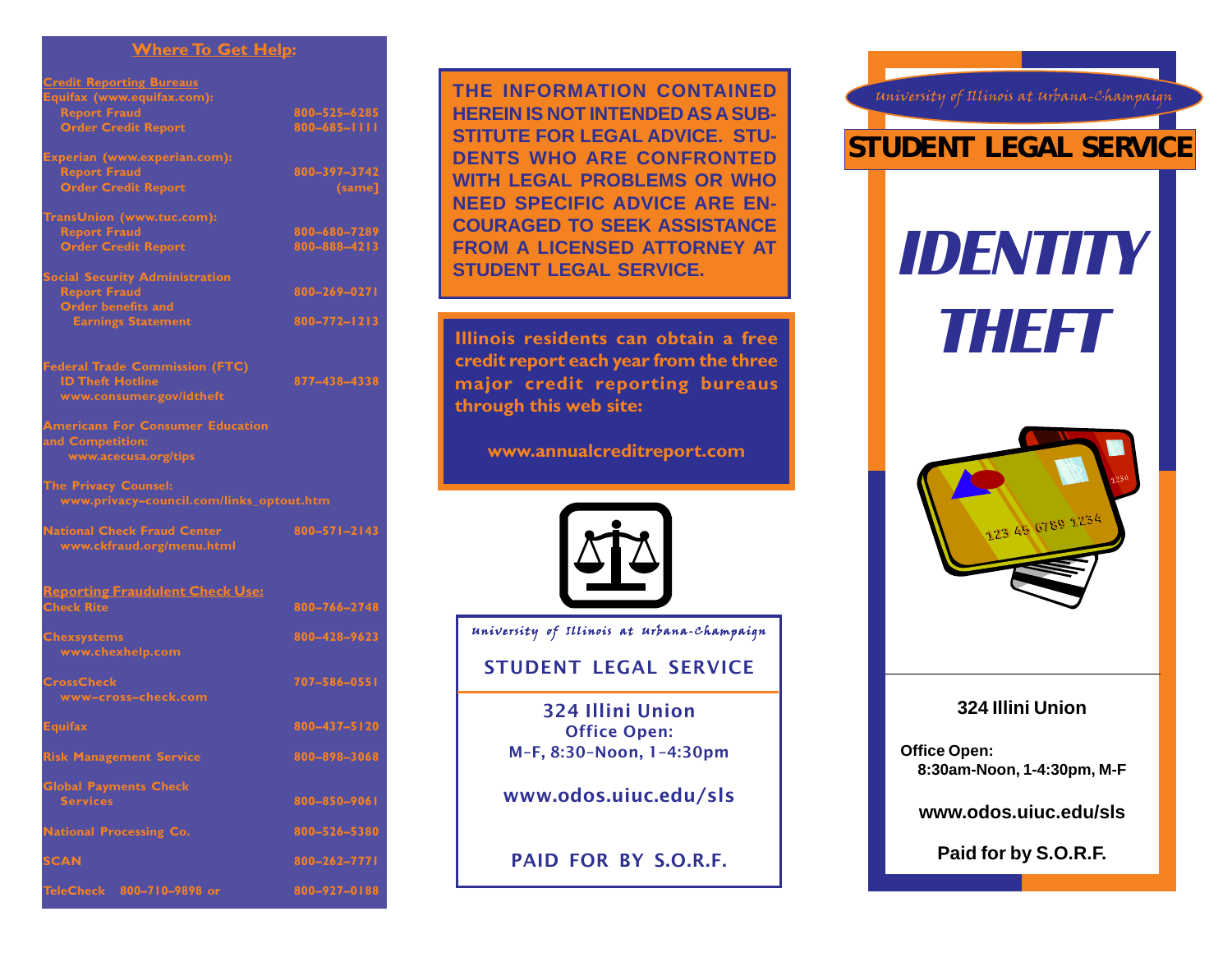#### **Where To Get Help:**

| <b>Credit Reporting Bureaus</b>          |                    |
|------------------------------------------|--------------------|
| Equifax (www.equifax.com):               |                    |
| <b>Report Fraud</b>                      | 800-525-6285       |
| <b>Order Credit Report</b>               | $800 - 685 - 1111$ |
| Experian (www.experian.com):             |                    |
| <b>Report Fraud</b>                      | 800-397-3742       |
| <b>Order Credit Report</b>               | (same]             |
| TransUnion (www.tuc.com):                |                    |
| <b>Report Fraud</b>                      | 800-680-7289       |
| <b>Order Credit Report</b>               | 800-888-4213       |
| <b>Social Security Administration</b>    |                    |
| <b>Report Fraud</b>                      | 800-269-0271       |
| Order benefits and                       |                    |
| <b>Earnings Statement</b>                | 800-772-1213       |
| <b>Federal Trade Commission (FTC)</b>    |                    |
| <b>ID Theft Hotline</b>                  | 877-438-4338       |
| www.consumer.gov/idtheft                 |                    |
| <b>Americans For Consumer Education</b>  |                    |
| and Competition:                         |                    |
| www.acecusa.org/tips                     |                    |
| The Privacy Counsel:                     |                    |
| www.privacy-council.com/links_optout.htm |                    |
| <b>National Check Fraud Center</b>       | $800 - 571 - 2143$ |
| www.ckfraud.org/menu.html                |                    |
| <b>Reporting Fraudulent Check Use:</b>   |                    |
| <b>Check Rite</b>                        | 800-766-2748       |
| <b>Chexsystems</b>                       | 800-428-9623       |
| www.chexhelp.com                         |                    |
| <b>CrossCheck</b>                        | 707-586-0551       |
| www-cross-check.com                      |                    |
| <b>Equifax</b>                           | 800-437-5120       |
| <b>Risk Management Service</b>           | 800-898-3068       |
| <b>Global Payments Check</b>             |                    |
| <b>Services</b>                          | 800-850-9061       |
| <b>National Processing Co.</b>           | 800-526-5380       |
| <b>SCAN</b>                              | 800-262-7771       |
| TeleCheck 800-710-9898 or                | 800-927-0188       |

**THE INFORMATION CONTAINED HEREIN IS NOT INTENDED AS A SUB-STITUTE FOR LEGAL ADVICE. STU-DENTS WHO ARE CONFRONTED WITH LEGAL PROBLEMS OR WHO NEED SPECIFIC ADVICE ARE EN-COURAGED TO SEEK ASSISTANCE FROM A LICENSED ATTORNEY AT STUDENT LEGAL SERVICE.**

**Illinois residents can obtain a free credit report each year from the three major credit reporting bureaus through this web site:**

**www.annualcreditreport.com**



University of Illinois at Urbana-Champaign

# STUDENT LEGAL SERVICE

324 Illini Union Office Open: M–F, 8:30–Noon, 1–4:30pm

www.odos.uiuc.edu/sls

PAID FOR BY S.O.R.F.



University of Illinois at Urbana-Champaign



## **324 Illini Union**

**Office Open: 8:30am-Noon, 1-4:30pm, M-F**

**www.odos.uiuc.edu/sls**

**Paid for by S.O.R.F.**